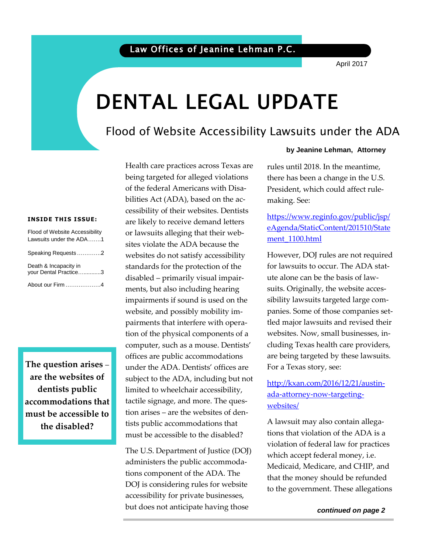April 2017

# DENTAL LEGAL UPDATE

### Flood of Website Accessibility Lawsuits under the ADA

### **INSIDE THIS ISSUE:**

| Flood of Website Accessibility<br>Lawsuits under the ADA1 |  |
|-----------------------------------------------------------|--|
| Speaking Requests2                                        |  |
| Death & Incapacity in<br>vour Dental Practice3            |  |
| About our Firm 4                                          |  |

**The question arises** – **are the websites of dentists public accommodations that must be accessible to the disabled?** 

Health care practices across Texas are being targeted for alleged violations of the federal Americans with Disabilities Act (ADA), based on the accessibility of their websites. Dentists are likely to receive demand letters or lawsuits alleging that their websites violate the ADA because the websites do not satisfy accessibility standards for the protection of the disabled – primarily visual impairments, but also including hearing impairments if sound is used on the website, and possibly mobility impairments that interfere with operation of the physical components of a computer, such as a mouse. Dentists' offices are public accommodations under the ADA. Dentists' offices are subject to the ADA, including but not limited to wheelchair accessibility, tactile signage, and more. The question arises – are the websites of dentists public accommodations that must be accessible to the disabled?

The U.S. Department of Justice (DOJ) administers the public accommodations component of the ADA. The DOJ is considering rules for website accessibility for private businesses, but does not anticipate having those

### **by Jeanine Lehman, Attorney**

 President, which could affect rulemaking. See: rules until 2018. In the meantime, there has been a change in the U.S.

### media www.inguno.gov/pashe/jop/<br>[eAgenda/StaticContent/201510/State](https://www.reginfo.gov/public/jsp/eAgenda/StaticContent/201510/Statement_1100.html) [https://www.reginfo.gov/public/jsp/](https://www.reginfo.gov/public/jsp/eAgenda/StaticContent/201510/Statement_1100.html) [ment\\_1100.html](https://www.reginfo.gov/public/jsp/eAgenda/StaticContent/201510/Statement_1100.html)

However, DOJ rules are not required for lawsuits to occur. The ADA statute alone can be the basis of lawsuits. Originally, the website accessibility lawsuits targeted large companies. Some of those companies settled major lawsuits and revised their websites. Now, small businesses, including Texas health care providers, are being targeted by these lawsuits. For a Texas story, see:

### [http://kxan.com/2016/12/21/austin](http://kxan.com/2016/12/21/austin-ada-attorney-now-targeting-websites/)[ada-attorney-now-targeting](http://kxan.com/2016/12/21/austin-ada-attorney-now-targeting-websites/)[websites/](http://kxan.com/2016/12/21/austin-ada-attorney-now-targeting-websites/)

 Medicaid, Medicare, and CHIP, and A lawsuit may also contain allegations that violation of the ADA is a violation of federal law for practices which accept federal money, i.e. that the money should be refunded to the government. These allegations

 *continued on page 2*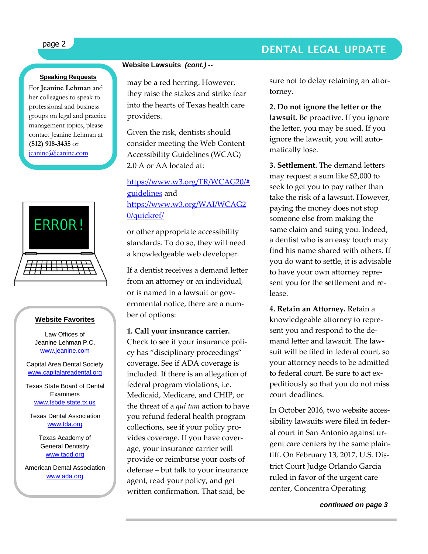### **Speaking Requests**

For **Jeanine Lehman** and her colleagues to speak to professional and business groups on legal and practice management topics, please contact Jeanine Lehman at **(512) 918-3435** or [jeanine@jeanine.com](mailto:jeanine@jeanine.com)



ì

### **Website Favorites**

Law Offices of Jeanine Lehman P.C. [www.jeanine.com](http://www.jeanine.com/)

Capital Area Dental Society [www.capitalareadental.org](http://www.capitalareadental.org/)

Texas State Board of Dental **Examiners** [www.tsbde.state.tx.us](http://www.tsbde.state.tx.us/)

Texas Dental Association [www.tda.org](http://www.tda.org/)

> Texas Academy of General Dentistry [www.tagd.org](http://www.tagd.org/)

American Dental Association [www.ada.org](http://www.ada.org/)

### **Website Lawsuits** *(cont.) --*

may be a red herring. However, they raise the stakes and strike fear into the hearts of Texas health care providers.

Given the risk, dentists should consider meeting the Web Content Accessibility Guidelines (WCAG) 2.0 A or AA located at:

[https://www.w3.org/TR/WCAG20/#](https://www.w3.org/TR/WCAG20/#guidelines) [guidelines](https://www.w3.org/TR/WCAG20/#guidelines) and [https://www.w3.org/WAI/WCAG2](https://www.w3.org/WAI/WCAG20/quickref/) [0/quickref/](https://www.w3.org/WAI/WCAG20/quickref/)

or other appropriate accessibility standards. To do so, they will need a knowledgeable web developer.

If a dentist receives a demand letter from an attorney or an individual, or is named in a lawsuit or governmental notice, there are a number of options:

### **1. Call your insurance carrier.**

Check to see if your insurance policy has "disciplinary proceedings" coverage. See if ADA coverage is included. If there is an allegation of federal program violations, i.e. Medicaid, Medicare, and CHIP, or the threat of a *qui tam* action to have you refund federal health program collections, see if your policy provides coverage. If you have coverage, your insurance carrier will provide or reimburse your costs of defense – but talk to your insurance agent, read your policy, and get written confirmation. That said, be

sure not to delay retaining an attortorney.

**2. Do not ignore the letter or the lawsuit.** Be proactive. If you ignore the letter, you may be sued. If you ignore the lawsuit, you will automatically lose.

**3. Settlement.** The demand letters may request a sum like \$2,000 to seek to get you to pay rather than take the risk of a lawsuit. However, paying the money does not stop someone else from making the same claim and suing you. Indeed, a dentist who is an easy touch may find his name shared with others. If you do want to settle, it is advisable to have your own attorney represent you for the settlement and release.

**4. Retain an Attorney.** Retain a knowledgeable attorney to represent you and respond to the demand letter and lawsuit. The lawsuit will be filed in federal court, so your attorney needs to be admitted to federal court. Be sure to act expeditiously so that you do not miss court deadlines.

In October 2016, two website accessibility lawsuits were filed in federal court in San Antonio against urgent care centers by the same plaintiff. On February 13, 2017, U.S. District Court Judge Orlando Garcia ruled in favor of the urgent care center, Concentra Operating

 *continued on page 3*

## page 2 DENTAL LEGAL UPDATE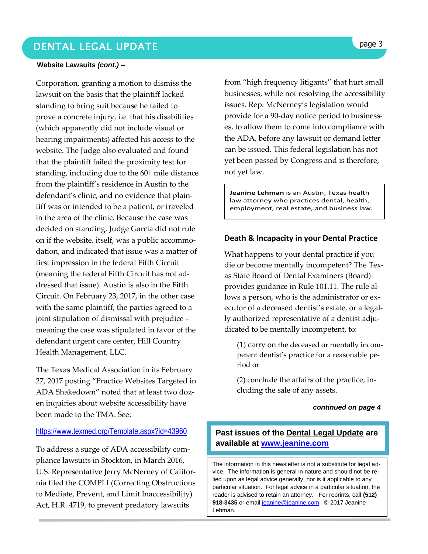## DENTAL LEGAL UPDATE **page 3**

#### **Website Lawsuits** *(cont.) --*

Corporation, granting a motion to dismiss the lawsuit on the basis that the plaintiff lacked standing to bring suit because he failed to prove a concrete injury, i.e. that his disabilities (which apparently did not include visual or hearing impairments) affected his access to the website. The Judge also evaluated and found that the plaintiff failed the proximity test for standing, including due to the 60+ mile distance from the plaintiff's residence in Austin to the defendant's clinic, and no evidence that plaintiff was or intended to be a patient, or traveled in the area of the clinic. Because the case was decided on standing, Judge Garcia did not rule on if the website, itself, was a public accommodation, and indicated that issue was a matter of first impression in the federal Fifth Circuit (meaning the federal Fifth Circuit has not addressed that issue). Austin is also in the Fifth Circuit. On February 23, 2017, in the other case with the same plaintiff, the parties agreed to a joint stipulation of dismissal with prejudice – meaning the case was stipulated in favor of the defendant urgent care center, Hill Country Health Management, LLC.

The Texas Medical Association in its February 27, 2017 posting "Practice Websites Targeted in ADA Shakedown" noted that at least two dozen inquiries about website accessibility have been made to the TMA. See:

### <https://www.texmed.org/Template.aspx?id=43960>

To address a surge of ADA accessibility compliance lawsuits in Stockton, in March 2016, U.S. Representative Jerry McNerney of California filed the COMPLI (Correcting Obstructions to Mediate, Prevent, and Limit Inaccessibility) Act, H.R. 4719, to prevent predatory lawsuits

from "high frequency litigants" that hurt small businesses, while not resolving the accessibility issues. Rep. McNerney's legislation would provide for a 90-day notice period to businesses, to allow them to come into compliance with the ADA, before any lawsuit or demand letter can be issued. This federal legislation has not yet been passed by Congress and is therefore, not yet law.

**Jeanine Lehman** is an Austin, Texas health law attorney who practices dental, health, employment, real estate, and business law.

### **Death & Incapacity in your Dental Practice**

What happens to your dental practice if you die or become mentally incompetent? The Texas State Board of Dental Examiners (Board) provides guidance in Rule 101.11. The rule allows a person, who is the administrator or executor of a deceased dentist's estate, or a legally authorized representative of a dentist adjudicated to be mentally incompetent, to:

(1) carry on the deceased or mentally incompetent dentist's practice for a reasonable period or

(2) conclude the affairs of the practice, including the sale of any assets.

### *continued on page 4*

### **Past issues of the Dental Legal Update are available at [www.jeanine.com](http://www.jeanine.com/)**

The information in this newsletter is not a substitute for legal advice. The information is general in nature and should not be relied upon as legal advice generally, nor is it applicable to any particular situation. For legal advice in a particular situation, the reader is advised to retain an attorney. For reprints, call **(512)**  918-3435 or email [jeanine@jeanine.com.](mailto:jeanine@jeanine.com) © 2017 Jeanine Lehman.